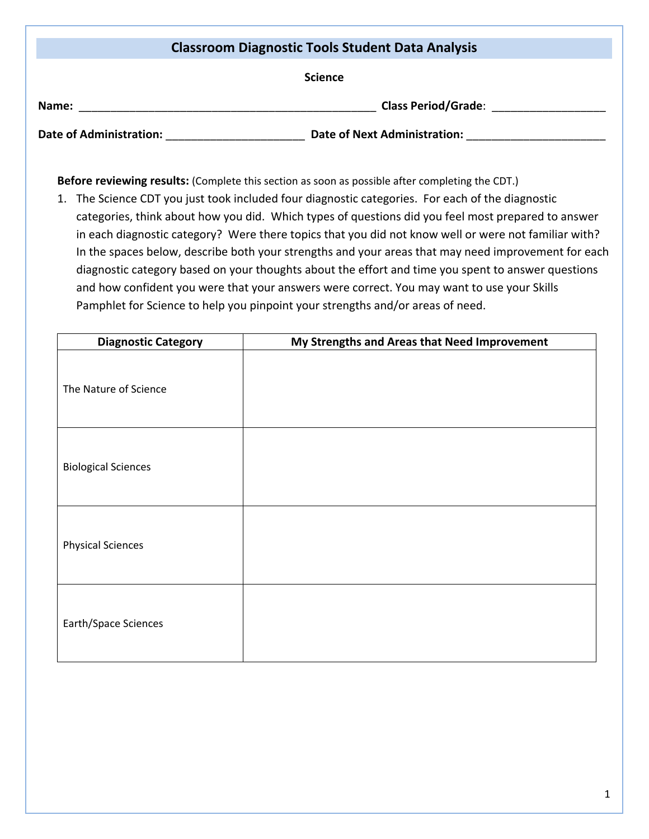| <b>Classroom Diagnostic Tools Student Data Analysis</b> |                                     |  |  |  |
|---------------------------------------------------------|-------------------------------------|--|--|--|
| <b>Science</b>                                          |                                     |  |  |  |
| Name:                                                   | <b>Class Period/Grade:</b>          |  |  |  |
| <b>Date of Administration:</b>                          | <b>Date of Next Administration:</b> |  |  |  |

**Before reviewing results:** (Complete this section as soon as possible after completing the CDT.)

1. The Science CDT you just took included four diagnostic categories. For each of the diagnostic categories, think about how you did. Which types of questions did you feel most prepared to answer in each diagnostic category? Were there topics that you did not know well or were not familiar with? In the spaces below, describe both your strengths and your areas that may need improvement for each diagnostic category based on your thoughts about the effort and time you spent to answer questions and how confident you were that your answers were correct. You may want to use your Skills Pamphlet for Science to help you pinpoint your strengths and/or areas of need.

| <b>Diagnostic Category</b> | My Strengths and Areas that Need Improvement |  |  |  |
|----------------------------|----------------------------------------------|--|--|--|
| The Nature of Science      |                                              |  |  |  |
| <b>Biological Sciences</b> |                                              |  |  |  |
| <b>Physical Sciences</b>   |                                              |  |  |  |
| Earth/Space Sciences       |                                              |  |  |  |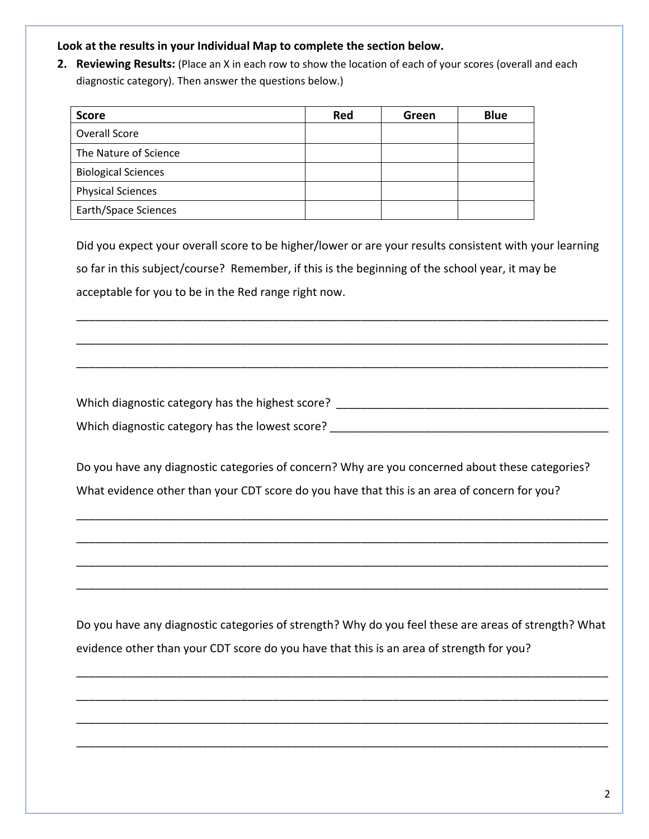## **Look at the results in your Individual Map to complete the section below.**

**2. Reviewing Results:** (Place an X in each row to show the location of each of your scores (overall and each diagnostic category). Then answer the questions below.)

| <b>Score</b>               | Red | Green | <b>Blue</b> |
|----------------------------|-----|-------|-------------|
| Overall Score              |     |       |             |
| The Nature of Science      |     |       |             |
| <b>Biological Sciences</b> |     |       |             |
| <b>Physical Sciences</b>   |     |       |             |
| Earth/Space Sciences       |     |       |             |

Did you expect your overall score to be higher/lower or are your results consistent with your learning so far in this subject/course? Remember, if this is the beginning of the school year, it may be acceptable for you to be in the Red range right now.

\_\_\_\_\_\_\_\_\_\_\_\_\_\_\_\_\_\_\_\_\_\_\_\_\_\_\_\_\_\_\_\_\_\_\_\_\_\_\_\_\_\_\_\_\_\_\_\_\_\_\_\_\_\_\_\_\_\_\_\_\_\_\_\_\_\_\_\_\_\_\_\_\_\_\_\_\_\_\_\_\_\_\_\_

\_\_\_\_\_\_\_\_\_\_\_\_\_\_\_\_\_\_\_\_\_\_\_\_\_\_\_\_\_\_\_\_\_\_\_\_\_\_\_\_\_\_\_\_\_\_\_\_\_\_\_\_\_\_\_\_\_\_\_\_\_\_\_\_\_\_\_\_\_\_\_\_\_\_\_\_\_\_\_\_\_\_\_\_

\_\_\_\_\_\_\_\_\_\_\_\_\_\_\_\_\_\_\_\_\_\_\_\_\_\_\_\_\_\_\_\_\_\_\_\_\_\_\_\_\_\_\_\_\_\_\_\_\_\_\_\_\_\_\_\_\_\_\_\_\_\_\_\_\_\_\_\_\_\_\_\_\_\_\_\_\_\_\_\_\_\_\_\_

Which diagnostic category has the highest score?  $\blacksquare$ Which diagnostic category has the lowest score? \_\_\_\_\_\_\_\_\_\_\_\_\_\_\_\_\_\_\_\_\_\_\_\_\_\_\_\_\_\_\_\_

Do you have any diagnostic categories of concern? Why are you concerned about these categories? What evidence other than your CDT score do you have that this is an area of concern for you?

\_\_\_\_\_\_\_\_\_\_\_\_\_\_\_\_\_\_\_\_\_\_\_\_\_\_\_\_\_\_\_\_\_\_\_\_\_\_\_\_\_\_\_\_\_\_\_\_\_\_\_\_\_\_\_\_\_\_\_\_\_\_\_\_\_\_\_\_\_\_\_\_\_\_\_\_\_\_\_\_\_\_\_\_

\_\_\_\_\_\_\_\_\_\_\_\_\_\_\_\_\_\_\_\_\_\_\_\_\_\_\_\_\_\_\_\_\_\_\_\_\_\_\_\_\_\_\_\_\_\_\_\_\_\_\_\_\_\_\_\_\_\_\_\_\_\_\_\_\_\_\_\_\_\_\_\_\_\_\_\_\_\_\_\_\_\_\_\_

\_\_\_\_\_\_\_\_\_\_\_\_\_\_\_\_\_\_\_\_\_\_\_\_\_\_\_\_\_\_\_\_\_\_\_\_\_\_\_\_\_\_\_\_\_\_\_\_\_\_\_\_\_\_\_\_\_\_\_\_\_\_\_\_\_\_\_\_\_\_\_\_\_\_\_\_\_\_\_\_\_\_\_\_

\_\_\_\_\_\_\_\_\_\_\_\_\_\_\_\_\_\_\_\_\_\_\_\_\_\_\_\_\_\_\_\_\_\_\_\_\_\_\_\_\_\_\_\_\_\_\_\_\_\_\_\_\_\_\_\_\_\_\_\_\_\_\_\_\_\_\_\_\_\_\_\_\_\_\_\_\_\_\_\_\_\_\_\_

Do you have any diagnostic categories of strength? Why do you feel these are areas of strength? What evidence other than your CDT score do you have that this is an area of strength for you?

\_\_\_\_\_\_\_\_\_\_\_\_\_\_\_\_\_\_\_\_\_\_\_\_\_\_\_\_\_\_\_\_\_\_\_\_\_\_\_\_\_\_\_\_\_\_\_\_\_\_\_\_\_\_\_\_\_\_\_\_\_\_\_\_\_\_\_\_\_\_\_\_\_\_\_\_\_\_\_\_\_\_\_\_

\_\_\_\_\_\_\_\_\_\_\_\_\_\_\_\_\_\_\_\_\_\_\_\_\_\_\_\_\_\_\_\_\_\_\_\_\_\_\_\_\_\_\_\_\_\_\_\_\_\_\_\_\_\_\_\_\_\_\_\_\_\_\_\_\_\_\_\_\_\_\_\_\_\_\_\_\_\_\_\_\_\_\_\_

\_\_\_\_\_\_\_\_\_\_\_\_\_\_\_\_\_\_\_\_\_\_\_\_\_\_\_\_\_\_\_\_\_\_\_\_\_\_\_\_\_\_\_\_\_\_\_\_\_\_\_\_\_\_\_\_\_\_\_\_\_\_\_\_\_\_\_\_\_\_\_\_\_\_\_\_\_\_\_\_\_\_\_\_

\_\_\_\_\_\_\_\_\_\_\_\_\_\_\_\_\_\_\_\_\_\_\_\_\_\_\_\_\_\_\_\_\_\_\_\_\_\_\_\_\_\_\_\_\_\_\_\_\_\_\_\_\_\_\_\_\_\_\_\_\_\_\_\_\_\_\_\_\_\_\_\_\_\_\_\_\_\_\_\_\_\_\_\_